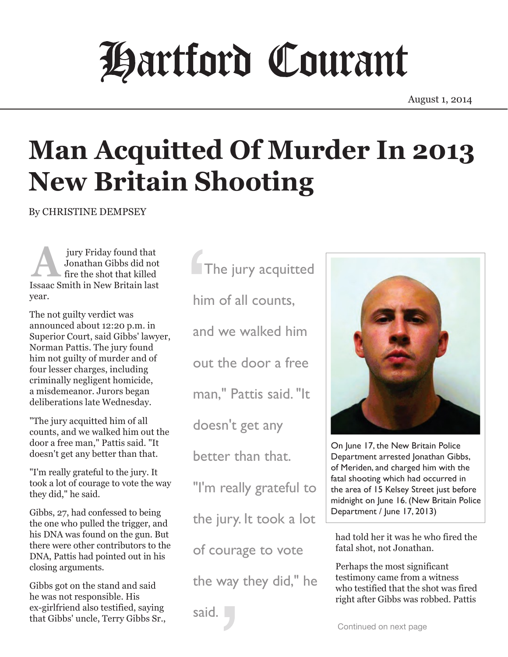## Hartford Courant

August 1, 2014

## **Man Acquitted Of Murder In 2013 New Britain Shooting**

By CHRISTINE DEMPSEY

 jury Friday found that Jonathan Gibbs did not fire the shot that killed Jury Friday found that<br>Jonathan Gibbs did not<br>fire the shot that killed<br>Issaac Smith in New Britain last year.

The not guilty verdict was announced about 12:20 p.m. in Superior Court, said Gibbs' lawyer, Norman Pattis. The jury found him not guilty of murder and of four lesser charges, including criminally negligent homicide, a misdemeanor. Jurors began deliberations late Wednesday.

"The jury acquitted him of all counts, and we walked him out the door a free man," Pattis said. "It doesn't get any better than that.

"I'm really grateful to the jury. It took a lot of courage to vote the way they did," he said.

Gibbs, 27, had confessed to being the one who pulled the trigger, and his DNA was found on the gun. But there were other contributors to the DNA, Pattis had pointed out in his closing arguments.

Gibbs got on the stand and said he was not responsible. His ex-girlfriend also testified, saying that Gibbs' uncle, Terry Gibbs Sr., The jury acquitted him of all counts, and we walked him out the door a free man," Pattis said. "It doesn't get any better than that. "I'm really grateful to the jury. It took a lot

of courage to vote

the way they did," he

said.



On June 17, the New Britain Police Department arrested Jonathan Gibbs, of Meriden, and charged him with the fatal shooting which had occurred in the area of 15 Kelsey Street just before midnight on June 16. (New Britain Police Department / June 17, 2013)

had told her it was he who fired the fatal shot, not Jonathan.

Perhaps the most significant testimony came from a witness who testified that the shot was fired right after Gibbs was robbed. Pattis